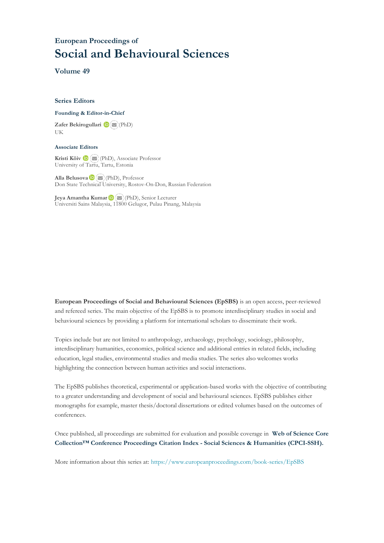# **European Proceedings of Social and Behavioural Sciences**

**Volume 49**

#### **Series Editors**

#### **Founding & Editor-in-Chief**

**Zafer Bekirogullari**(PhD) UK

#### **Associate Editors**

**Kristi Köiv** (PhD), Associate Professor University of Tartu, Tartu, Estonia

**Alla Belusova**(PhD), Professor Don State Technical University, Rostov-On-Don, Russian Federation

**Jeya Amantha Kumar**(PhD), Senior Lecturer Universiti Sains Malaysia, [1180](mailto:amantha@usm.my)0 Gelugor, Pulau Pinang, Malaysia

**European Proceedings of Social and Behavioural Sciences (EpSBS)** is an open access, peer-reviewed and refereed series. The main objective of the EpSBS is to promote interdisciplinary studies in social and behavioural sciences by providing a platform for international scholars to disseminate their work.

Topics include but are not limited to anthropology, archaeology, psychology, sociology, philosophy, interdisciplinary humanities, economics, political science and additional entries in related fields, including education, legal studies, environmental studies and media studies. The series also welcomes works highlighting the connection between human activities and social interactions.

The EpSBS publishes theoretical, experimental or application-based works with the objective of contributing to a greater understanding and development of social and behavioural sciences. EpSBS publishes either monographs for example, master thesis/doctoral dissertations or edited volumes based on the outcomes of conferences.

Once published, all proceedings are submitted for evaluation and possible coverage in **Web of [Science](https://clarivate.com/webofsciencegroup/solutions/webofscience-cpci/) Core Collection™ Conference Proceedings Citation Index - Social Sciences & Humanities [\(CPCI-SSH\).](https://clarivate.com/webofsciencegroup/solutions/webofscience-cpci/)**

More information about this series at[: https://www.europeanproceedings.com/book-series/EpSBS](https://www.europeanproceedings.com/book-series/EpSBS)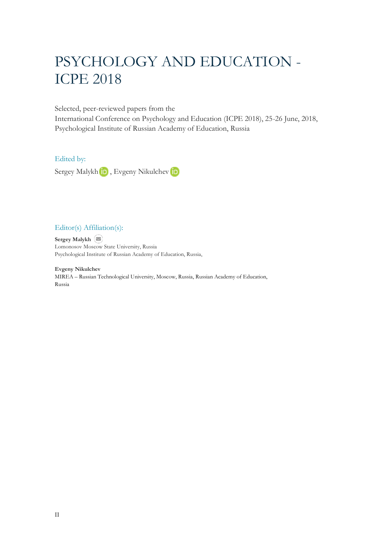# PSYCHOLOGY AND EDUCATION - ICPE 2018

Selected, peer-reviewed papers from the

International Conference on Psychology and Education (ICPE 2018), 25-26 June, 2018, Psychological Institute of Russian Academy of Education, Russia

# Edited by:

SergeyMalykh in, Evgeny Nikulchev in

# Editor(s) Affiliation(s):

**Sergey Malykh** Lomonosov Moscow State University, Russia Psychological Institute of Russian Academy of Education, Russia,

**Evgeny Nikulchev** MIREA – Russian Technological University, Moscow, Russia, Russian Academy of Education, Russia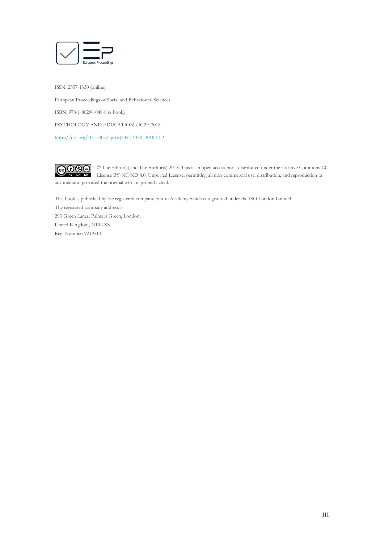

ISSN: 2357-1330 (online). European Proceedings of Social and Behavioural Sciences ISBN: 978-1-80296-048-8 (e-book) PSYCHOLOGY AND EDUCATION - ICPE 2018 [https://doi.org/10.15405/epsbs\(2357-1330\).2018.11.2](https://doi.org/10.15405/epsbs(2357-1330).2018.11.2)



© The Editor(s) and The Author(s) 2018. This is an open access book distributed under the Creative Commons CC License BY-NC-ND 4.0. Unported License, permitting all non-commercial use, distribution, and reproduction in  $\overline{ND}$ any medium, provided the original work is properly cited.

This book is published by the registered company Future Academy which is registered under the ISO London Limited. The registered company address is: 293 Green Lanes, Palmers Green, London, United Kingdom, N13 4XS Reg. Number: 9219513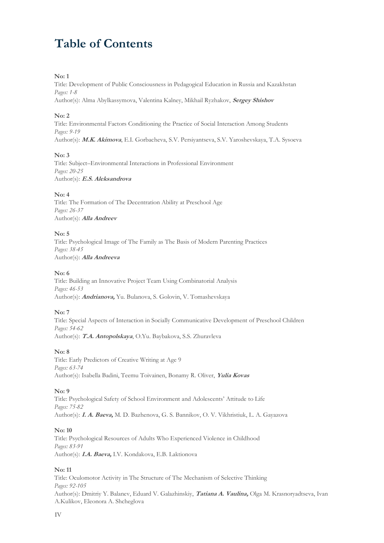# **Table of Contents**

#### **No: 1**

Title: Development of Public Consciousness in Pedagogical Education in Russia and Kazakhstan *Pages: 1-8*  Author(s): Alma Abylkassymova, Valentina Kalney, Mikhail Ryzhakov, **Sergey Shishov**

# **No: 2**

Title: Environmental Factors Conditioning the Practice of Social Interaction Among Students *Pages: 9-19*  Author(s): **M.K. Akimova**, E.I. Gorbacheva, S.V. Persiyantseva, S.V. Yaroshevskaya, T.A. Sysoeva

# **No: 3**

Title: Subject–Environmental Interactions in Professional Environment *Pages: 20-25*  Author(s): **E.S. Aleksandrova**

# **No: 4**

Title: The Formation of The Decentration Ability at Preschool Age *Pages: 26-37*  Author(s): **Alla Andreev**

# **No: 5**

Title: Psychological Image of The Family as The Basis of Modern Parenting Practices *Pages: 38-45*  Author(s): **Alla Andreeva**

# **No: 6**

Title: Building an Innovative Project Team Using Combinatorial Analysis *Pages: 46-53*  Author(s): **Andrianova,** Yu. Bulanova, S. Golovin, V. Tomashevskaya

#### **No: 7**

Title: Special Aspects of Interaction in Socially Communicative Development of Preschool Children *Pages: 54-62*  Author(s): **T.A. Antopolskaya**, O.Yu. Baybakova, S.S. Zhuravleva

#### **No: 8**

Title: Early Predictors of Creative Writing at Age 9 *Pages: 63-74*  Author(s): Isabella Badini, Teemu Toivainen, Bonamy R. Oliver, **Yulia Kovas** 

#### **No: 9**

Title: Psychological Safety of School Environment and Adolescents' Attitude to Life *Pages: 75-82*  Author(s): **I. A. Baeva,** M. D. Bazhenova, G. S. Bannikov, O. V. Vikhristiuk, L. A. Gayazova

# **No: 10**

Title: Psychological Resources of Adults Who Experienced Violence in Childhood *Pages: 83-91*  Author(s): **I.A. Baeva,** I.V. Kondakova, E.B. Laktionova

#### **No: 11**

Title: Oculomotor Activity in The Structure of The Mechanism of Selective Thinking *Pages: 92-105*  Author(s): Dmitriy Y. Balanev, Eduard V. Galazhinskiy, **Tatiana A. Vaulina,** Olga M. Krasnoryadtseva, Ivan A.Kulikov, Eleonora A. Shcheglova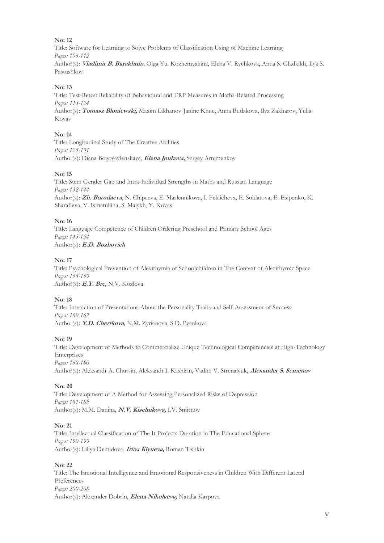Title: Software for Learning to Solve Problems of Classification Using of Machine Learning *Pages: 106-112*  Author(s): **Vladimir B. Barakhnin**, Olga Yu. Kozhemyakina, Elena V. Rychkova, Anna S. Gladkikh, Ilya S. Pastushkov

# **No: 13**

Title: Test-Retest Reliability of Behavioural and ERP Measures in Maths-Related Processing *Pages: 113-124*  Author(s): **Tomasz Bloniewski,** Maxim Likhanov, Janine Khuc, Anna Budakova, Ilya Zakharov, Yulia Kovas

# **No: 14**

Title: Longitudinal Study of The Creative Abilities *Pages: 125-131*  Author(s): Diana Bogoyavlenskaya, **Elena Joukova,** Sergey Artemenkov

# **No: 15**

Title: Stem Gender Gap and Intra-Individual Strengths in Maths and Russian Language *Pages: 132-144*  Author(s): **Zh. Borodaeva**, N. Chipeeva, E. Maslennikova, I. Feklicheva, E. Soldatova, E. Esipenko, K. Sharafieva, V. Ismatullina, S. Malykh, Y. Kovas

# **No: 16**

Title: Language Competence of Children Ordering Preschool and Primary School Ages *Pages: 145-154*  Author(s): **E.D. Bozhovich**

# **No: 17**

Title: Psychological Prevention of Alexithymia of Schoolchildren in The Context of Alexithymic Space *Pages: 155-159*  Author(s): **E.Y. Bre,** N.V. Kozlova

# **No: 18**

Title: Interaction of Presentations About the Personality Traits and Self-Assessment of Success *Pages: 160-167*  Author(s): **Y.D. Chertkova,** N.M. Zyrianova, S.D. Pyankova

# **No: 19**

Title: Development of Methods to Commercialize Unique Technological Competencies at High-Technology Enterprises *Pages: 168-180*  Author(s): Aleksandr A. Chursin, Aleksandr I. Kashirin, Vadim V. Strenalyuk, **Alexander S. Semenov**

#### **No: 20**

Title: Development of A Method for Assessing Personalized Risks of Depression *Pages: 181-189*  Author(s): M.M. Danina, **N.V. Kiselnikova,** I.V. Smirnov

#### **No: 21**

Title: Intellectual Classification of The It Projects Duration in The Educational Sphere *Pages: 190-199*  Author(s): Liliya Demidova, **Irina Klyueva,** Roman Tishkin

#### **No: 22**

Title: The Emotional Intelligence and Emotional Responsiveness in Children With Different Lateral Preferences *Pages: 200-208*  Author(s): Alexander Dobrin, **Elena Nikolaeva,** Natalia Karpova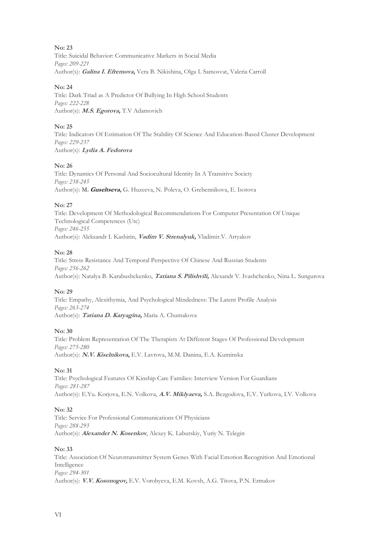**No: 23** Title: Suicidal Behavior: Communicative Markers in Social Media

*Pages: 209-221*  Author(s): **Galina I. Efremova,** Vera B. Nikishina, Olga I. Samosvat, Valeria Carroll

# **No: 24**

Title: Dark Triad as A Predictor Of Bullying In High School Students *Pages: 222-228*  Author(s): **M.S. Egorova,** T.V Adamovich

# **No: 25**

Title: Indicators Of Estimation Of The Stability Of Science And Education-Based Cluster Development *Pages: 229-237*  Author(s): **Lydia A. Fedorova**

# **No: 26**

Title: Dynamics Of Personal And Sociocultural Identity In A Transitive Society *Pages: 238-245*  Author(s): M**. Guseltseva,** G. Huzeeva, N. Poleva, O. Grebennikova, E. Isotova

# **No: 27**

Title: Development Of Methodological Recommendations For Computer Presentation Of Unique Technological Competences (Utc) *Pages: 246-255*  Author(s): Aleksandr I. Kashirin, **Vadim V. Strenalyuk,** Vladimir.V. Artyakov

# **No: 28**

Title: Stress Resistance And Temporal Perspective Of Chinese And Russian Students *Pages: 256-262*  Author(s): Natalya B. Karabushckenko, **Tatiana S. Pilishvili,** Alexandr V. Ivashchenko, Nina L. Sungurova

# **No: 29**

Title: Empathy, Alexithymia, And Psychological Mindedness: The Latent Profile Analysis *Pages: 263-274*  Author(s): **Tatiana D. Karyagina,** Maria A. Chumakova

# **No: 30**

Title: Problem Representation Of The Therapists At Different Stages Of Professional Development *Pages: 275-280*  Author(s): **N.V. Kiselnikova,** E.V. Lavrova, M.M. Danina, E.A. Kuminska

# **No: 31**

Title: Psychological Features Of Kinship Care Families: Interview Version For Guardians *Pages: 281-287*  Author(s): E.Yu. Korjova, E.N. Volkova, **A.V. Miklyaeva,** S.A. Bezgodova, E.V. Yurkova, I.V. Volkova

# **No: 32**

Title: Service For Professional Communications Of Physicians *Pages: 288-293*  Author(s): **Alexander N. Kosenkov**, Alexey K. Labutskiy, Yuriy N. Telegin

# **No: 33**

Title: Association Of Neurotransmitter System Genes With Facial Emotion Recognition And Emotional Intelligence *Pages: 294-301*  Author(s): **V.V. Kosonogov,** E.V. Vorobyeva, E.M. Kovsh, A.G. Titova, P.N. Ermakov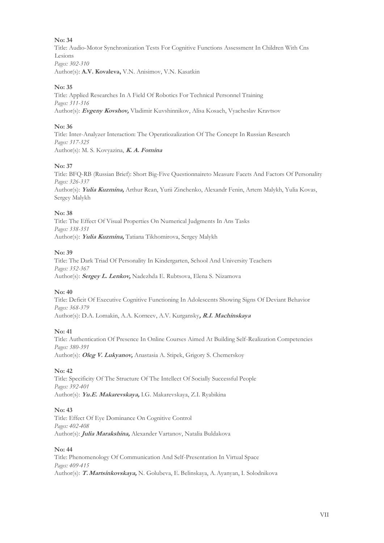Title: Audio-Motor Synchronization Tests For Cognitive Functions Assessment In Children With Cns Lesions *Pages: 302-310*  Author(s): **A.V. Kovaleva,** V.N. Anisimov, V.N. Kasatkin

#### **No: 35**

Title: Applied Researches In A Field Of Robotics For Technical Personnel Training *Pages: 311-316*  Author(s): **Evgeny Kovshov,** Vladimir Kuvshinnikov, Alisa Kosach, Vyacheslav Kravtsov

#### **No: 36**

Title: Inter-Analyzer Interaction: The Operatiozalization Of The Concept In Russian Research *Pages: 317-325*  Author(s): M. S. Kovyazina, **K. A. Fomina**

#### **No: 37**

Title: BFQ-RB (Russian Brief): Short Big-Five Questionnaireto Measure Facets And Factors Of Personality *Pages: 326-337*  Author(s): **Yulia Kuzmina,** Arthur Rean, Yurii Zinchenko, Alexandr Fenin, Artem Malykh, Yulia Kovas, Sergey Malykh

#### **No: 38**

Title: The Effect Of Visual Properties On Numerical Judgments In Ans Tasks *Pages: 338-351*  Author(s): **Yulia Kuzmina,** Tatiana Tikhomirova, Sergey Malykh

#### **No: 39**

Title: The Dark Triad Of Personality In Kindergarten, School And University Teachers *Pages: 352-367*  Author(s): **Sergey L. Lenkov,** Nadezhda E. Rubtsova, Elena S. Nizamova

#### **No: 40**

Title: Deficit Of Executive Cognitive Functioning In Adolescents Showing Signs Of Deviant Behavior *Pages: 368-379*  Author(s): D.A. Lomakin, A.A. Korneev, A.V. Kurgansky**, R.I. Machinskaya**

#### **No: 41**

Title: Authentication Of Presence In Online Courses Aimed At Building Self-Realization Competencies *Pages: 380-391*  Author(s): **Oleg V. Lukyanov,** Anastasia A. Stipek, Grigory S. Chemerskoy

#### **No: 42**

Title: Specificity Of The Structure Of The Intellect Of Socially Successful People *Pages: 392-401*  Author(s): **Yu.E. Makarevskaya,** I.G. Makarevskaya, Z.I. Ryabikina

# **No: 43**

Title: Effect Of Eye Dominance On Cognitive Control *Pages: 402-408*  Author(s): **Julia Marakshina,** Alexander Vartanov, Natalia Buldakova

## **No: 44**

Title: Phenomenology Of Communication And Self-Presentation In Virtual Space *Pages: 409-415*  Author(s): **T.Martsinkovskaya,** N. Golubeva, E. Belinskaya, A.Ayanyan, I. Solodnikova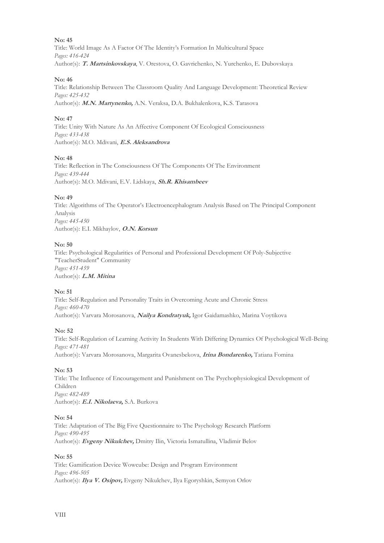Title: World Image As A Factor Of The Identity's Formation In Multicultural Space *Pages: 416-424*  Author(s): **T. Martsinkovskaya**, V. Orestova, O. Gavrichenko, N. Yurchenko, E. Dubovskaya

# **No: 46**

Title: Relationship Between The Classroom Quality And Language Development: Theoretical Review *Pages: 425-432*  Author(s): **M.N. Martynenko,** A.N. Veraksa, D.A. Bukhalenkova, K.S. Tarasova

# **No: 47**

Title: Unity With Nature As An Affective Component Of Ecological Consciousness *Pages: 433-438*  Author(s): M.O. Mdivani, **E.S. Aleksandrova**

# **No: 48**

Title: Reflection in The Consciousness Of The Components Of The Environment *Pages: 439-444*  Author(s): M.O. Mdivani, E.V. Lidskaya, **Sh.R. Khisambeev**

# **No: 49**

Title: Algorithms of The Operator's Electroencephalogram Analysis Based on The Principal Component Analysis *Pages: 445-450*  Author(s): E.I. Mikhaylov, **O.N. Korsun**

# **No: 50**

Title: Psychological Regularities of Personal and Professional Development Of Poly-Subjective "TeacherStudent" Community *Pages: 451-459*  Author(s): **L.M. Mitina** 

# **No: 51**

Title: Self-Regulation and Personality Traits in Overcoming Acute and Chronic Stress *Pages: 460-470*  Author(s): Varvara Morosanova, **Nailya Kondratyuk,** Igor Gaidamashko, Marina Voytikova

#### **No: 52**

Title: Self-Regulation of Learning Activity In Students With Differing Dynamics Of Psychological Well-Being *Pages: 471-481*  Author(s): Varvara Morosanova, Margarita Ovanesbekova, **Irina Bondarenko,** Tatiana Fomina

# **No: 53**

Title: The Influence of Encouragement and Punishment on The Psychophysiological Development of Children *Pages: 482-489*  Author(s): **E.I. Nikolaeva,** S.A. Burkova

#### **No: 54**

Title: Adaptation of The Big Five Questionnaire to The Psychology Research Platform *Pages: 490-495*  Author(s): **Evgeny Nikulchev,** Dmitry Ilin, Victoria Ismatullina, Vladimir Belov

#### **No: 55**

Title: Gamification Device Wowcube: Design and Program Environment *Pages: 496-505*  Author(s): **Ilya V. Osipov,** Evgeny Nikulchev, Ilya Egoryshkin, Semyon Orlov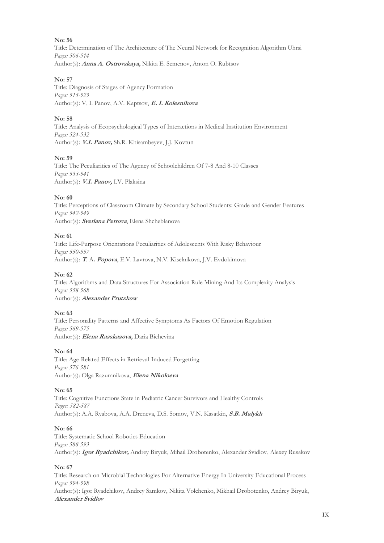Title: Determination of The Architecture of The Neural Network for Recognition Algorithm Uhrsi *Pages: 506-514*  Author(s): **Anna A. Ostrovskaya,** Nikita E. Semenov, Anton O. Rubtsov

## **No: 57**

Title: Diagnosis of Stages of Agency Formation *Pages: 515-523*  Author(s): V, I. Panov, A.V. Kaptsov, **E. I. Kolesnikova**

# **No: 58**

Title: Analysis of Ecopsychological Types of Interactions in Medical Institution Environment *Pages: 524-532*  Author(s): **V.I. Panov,** Sh.R. Khisambeyev, J.J. Kovtun

# **No: 59**

Title: The Peculiarities of The Agency of Schoolchildren Of 7-8 And 8-10 Classes *Pages: 533-541*  Author(s): **V.I. Panov,** I.V. Plaksina

# **No: 60**

Title: Perceptions of Classroom Climate by Secondary School Students: Grade and Gender Features *Pages: 542-549*  Author(s): **Svetlana Petrova**, Elena Shcheblanova

# **No: 61**

Title: Life-Purpose Orientations Peculiarities of Adolescents With Risky Behaviour *Pages: 550-557*  Author(s): **<sup>T</sup>**. A**. Popova**, E.V. Lavrova, N.V. Kiselnikova, J.V. Evdokimova

## **No: 62**

Title: Algorithms and Data Structures For Association Rule Mining And Its Complexity Analysis *Pages: 558-568*  Author(s): **Alexander Prutzkow**

#### **No: 63**

Title: Personality Patterns and Affective Symptoms As Factors Of Emotion Regulation *Pages: 569-575*  Author(s): **Elena Rasskazova,** Daria Bichevina

#### **No: 64**

Title: Age-Related Effects in Retrieval-Induced Forgetting *Pages: 576-581*  Author(s): Olga Razumnikova, **Elena Nikoloeva**

#### **No: 65**

Title: Cognitive Functions State in Pediatric Cancer Survivors and Healthy Controls *Pages: 582-587*  Author(s): A.A. Ryabova, A.A. Dreneva, D.S. Somov, V.N. Kasatkin, **S.B. Malykh**

#### **No: 66**

Title: Systematic School Robotics Education *Pages: 588-593*  Author(s): **Igor Ryadchikov,** Andrey Biryuk, Mihail Drobotenko, Alexander Svidlov, Alexey Rusakov

#### **No: 67**

Title: Research on Microbial Technologies For Alternative Energy In University Educational Process *Pages: 594-598*  Author(s): Igor Ryadchikov, Andrey Samkov, Nikita Volchenko, Mikhail Drobotenko, Andrey Biryuk,

#### **Alexander Svidlov**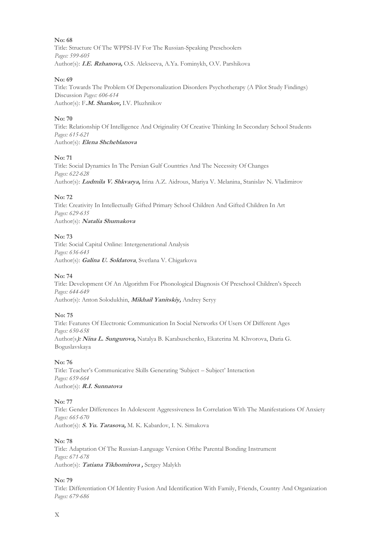**No: 68** Title: Structure Of The WPPSI-IV For The Russian-Speaking Preschoolers *Pages: 599-605*  Author(s): **I.E. Rzhanova,** O.S. Alekseeva, A.Ya. Fominykh, O.V. Parshikova

# **No: 69**

Title: Towards The Problem Of Depersonalization Disorders Psychotherapy (A Pilot Study Findings) Discussion *Pages: 606-614*  Author(s): F**.M. Shankov,** I.V. Pluzhnikov

# **No: 70**

Title: Relationship Of Intelligence And Originality Of Creative Thinking In Secondary School Students *Pages: 615-621*  Author(s): **Elena Shcheblanova**

# **No: 71**

Title: Social Dynamics In The Persian Gulf Countries And The Necessity Of Changes *Pages: 622-628*  Author(s): **Ludmila V. Shkvarya,** Irina A.Z. Aidrous, Mariya V. Melanina, Stanislav N. Vladimirov

# **No: 72**

Title: Creativity In Intellectually Gifted Primary School Children And Gifted Children In Art *Pages: 629-635*  Author(s): **Natalia Shumakova**

# **No: 73**

Title: Social Capital Online: Intergenerational Analysis *Pages: 636-643*  Author(s): **Galina U. Soldatova**, Svetlana V. Chigarkova

#### **No: 74**

Title: Development Of An Algorithm For Phonological Diagnosis Of Preschool Children's Speech *Pages: 644-649* 

Author(s): Anton Solodukhin, **Mikhail Yanitskiy,** Andrey Seryy

## **No: 75**

Title: Features Of Electronic Communication In Social Networks Of Users Of Different Ages *Pages: 650-658*  Author(s**): Nina L. Sungurova,** Natalya B. Karabuschenko, Ekaterina M. Khvorova, Daria G. Boguslavskaya

# **No: 76**

Title: Teacher's Communicative Skills Generating 'Subject – Subject' Interaction *Pages: 659-664*  Author(s): **R.I. Sunnatova**

#### **No: 77**

Title: Gender Differences In Adolescent Aggressiveness In Correlation With The Manifestations Of Anxiety *Pages: 665-670*  Author(s): **S. Yu. Tarasova,** M. K. Kabardov, I. N. Simakova

#### **No: 78**

Title: Adaptation Of The Russian-Language Version Ofthe Parental Bonding Instrument *Pages: 671-678*  Author(s): **Tatiana Tikhomirova ,** Sergey Malykh

#### **No: 79**

Title: Differentiation Of Identity Fusion And Identification With Family, Friends, Country And Organization *Pages: 679-686*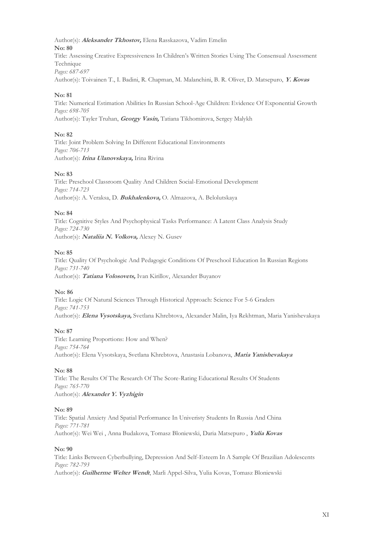Author(s): **Aleksander Tkhostov,** Elena Rasskazova, Vadim Emelin **No: 80** Title: Assessing Creative Expressiveness In Children's Written Stories Using The Consensual Assessment Technique *Pages: 687-697* 

Author(s): Toivainen T., I. Badini, R. Chapman, M. Malanchini, B. R. Oliver, D. Matsepuro, **Y. Kovas**

#### **No: 81**

Title: Numerical Estimation Abilities In Russian School-Age Children: Evidence Of Exponential Growth *Pages: 698-705* 

Author(s): Tayler Truhan, **Georgy Vasin,** Tatiana Tikhomirova, Sergey Malykh

#### **No: 82**

Title: Joint Problem Solving In Different Educational Environments *Pages: 706-713*  Author(s): **Irina Ulanovskaya,** Irina Rivina

#### **No: 83**

Title: Preschool Classroom Quality And Children Social-Emotional Development *Pages: 714-723*  Author(s): A. Veraksa, D. **Bukhalenkova,** O. Almazova, A. Belolutskaya

#### **No: 84**

Title: Cognitive Styles And Psychophysical Tasks Performance: A Latent Class Analysis Study *Pages: 724-730*  Author(s): **Nataliia N. Volkova,** Alexey N. Gusev

#### **No: 85**

Title: Quality Of Psychologic And Pedagogic Conditions Of Preschool Education In Russian Regions *Pages: 731-740*  Author(s): **Tatiana Volosovets,** Ivan Kirillov, Alexander Buyanov

#### **No: 86**

Title: Logic Of Natural Sciences Through Historical Approach: Science For 5-6 Graders *Pages: 741-753*  Author(s): **Elena Vysotskaya,** Svetlana Khrebtova, Alexander Malin, Iya Rekhtman, Maria Yanishevakaya

#### **No: 87**

Title: Learning Proportions: How and When? *Pages: 754-764*  Author(s): Elena Vysotskaya, Svetlana Khrebtova, Anastasia Lobanova, **Maria Yanishevakaya**

#### **No: 88**

Title: The Results Of The Research Of The Score-Rating Educational Results Of Students *Pages: 765-770*  Author(s): **Alexander Y. Vyzhigin**

# **No: 89**

Title: Spatial Anxiety And Spatial Performance In Univeristy Students In Russia And China *Pages: 771-781*  Author(s): Wei Wei , Anna Budakova, Tomasz Bloniewski, Daria Matsepuro , **Yulia Kovas**

#### **No: 90**

Title: Links Between Cyberbullying, Depression And Self-Esteem In A Sample Of Brazilian Adolescents *Pages: 782-793*  Author(s): **Guilherme Welter Wendt**, Marli Appel-Silva, Yulia Kovas, Tomasz Bloniewski